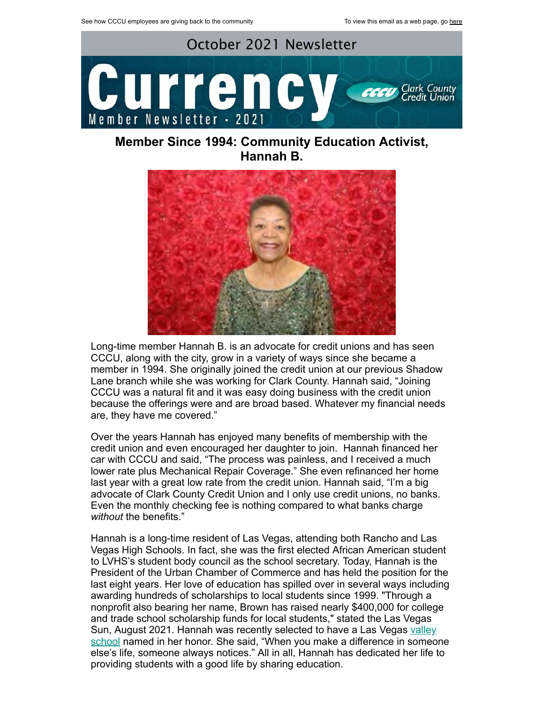

**Member Since 1994: Community Education Activist, Hannah B.**



Long-time member Hannah B. is an advocate for credit unions and has seen CCCU, along with the city, grow in a variety of ways since she became a member in 1994. She originally joined the credit union at our previous Shadow Lane branch while she was working for Clark County. Hannah said, "Joining CCCU was a natural fit and it was easy doing business with the credit union because the offerings were and are broad based. Whatever my financial needs are, they have me covered."

Over the years Hannah has enjoyed many benefits of membership with the credit union and even encouraged her daughter to join. Hannah financed her car with CCCU and said, "The process was painless, and I received a much lower rate plus Mechanical Repair Coverage." She even refinanced her home last year with a great low rate from the credit union. Hannah said, "I'm a big advocate of Clark County Credit Union and I only use credit unions, no banks. Even the monthly checking fee is nothing compared to what banks charge *without* the benefits."

Hannah is a long-time resident of Las Vegas, attending both Rancho and Las Vegas High Schools. In fact, she was the first elected African American student to LVHS's student body council as the school secretary. Today, Hannah is the President of the Urban Chamber of Commerce and has held the position for the last eight years. Her love of education has spilled over in several ways including awarding hundreds of scholarships to local students since 1999. "Through a nonprofit also bearing her name, Brown has raised nearly \$400,000 for college and trade school scholarship funds for local students," stated the Las Vegas [Sun, August 2021. Hannah was recently selected to have a Las Vegas valley](https://lasvegassun.com/news/2021/aug/09/hannah-browns-beautiful-legacy-of-compassion-and-g/) school named in her honor. She said, "When you make a difference in someone else's life, someone always notices." All in all, Hannah has dedicated her life to providing students with a good life by sharing education.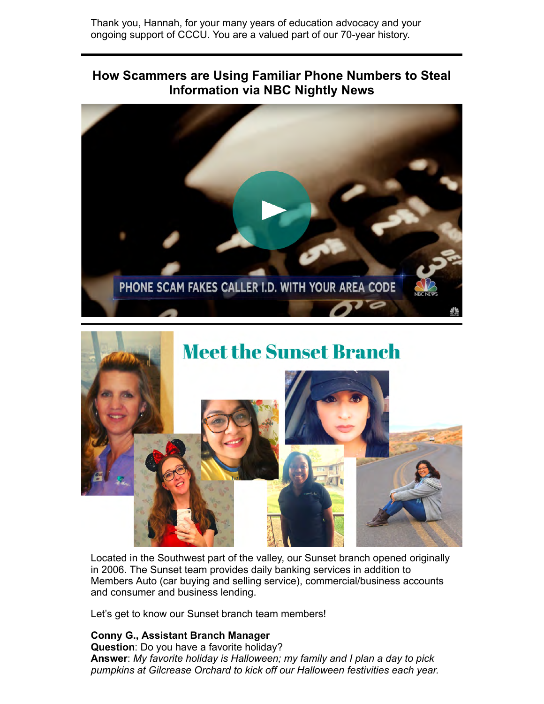Thank you, Hannah, for your many years of education advocacy and your ongoing support of CCCU. You are a valued part of our 70-year history.

## **How Scammers are Using Familiar Phone Numbers to Steal Information via NBC Nightly News**





Located in the Southwest part of the valley, our Sunset branch opened originally in 2006. The Sunset team provides daily banking services in addition to Members Auto (car buying and selling service), commercial/business accounts and consumer and business lending.

Let's get to know our Sunset branch team members!

## **Conny G., Assistant Branch Manager**

**Question**: Do you have a favorite holiday? **Answer**: *My favorite holiday is Halloween; my family and I plan a day to pick pumpkins at Gilcrease Orchard to kick off our Halloween festivities each year.*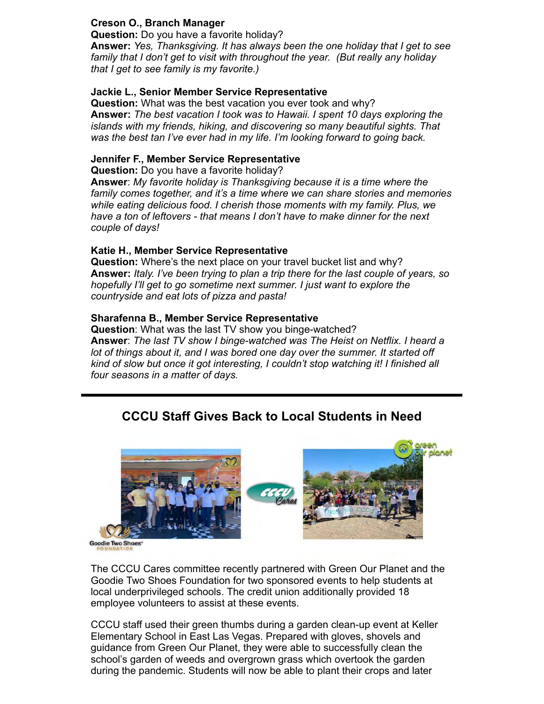## **Creson O., Branch Manager**

**Question:** Do you have a favorite holiday? **Answer:** *Yes, Thanksgiving. It has always been the one holiday that I get to see family that I don't get to visit with throughout the year. (But really any holiday that I get to see family is my favorite.)*

## **Jackie L., Senior Member Service Representative**

**Question:** What was the best vacation you ever took and why? **Answer:** *The best vacation I took was to Hawaii. I spent 10 days exploring the islands with my friends, hiking, and discovering so many beautiful sights. That was the best tan I've ever had in my life. I'm looking forward to going back.*

### **Jennifer F., Member Service Representative**

**Question:** Do you have a favorite holiday?

**Answer**: *My favorite holiday is Thanksgiving because it is a time where the family comes together, and it's a time where we can share stories and memories while eating delicious food. I cherish those moments with my family. Plus, we have a ton of leftovers - that means I don't have to make dinner for the next couple of days!*

#### **Katie H., Member Service Representative**

**Question:** Where's the next place on your travel bucket list and why? **Answer:** *Italy. I've been trying to plan a trip there for the last couple of years, so hopefully I'll get to go sometime next summer. I just want to explore the countryside and eat lots of pizza and pasta!*

#### **Sharafenna B., Member Service Representative**

**Question**: What was the last TV show you binge-watched? **Answer**: *The last TV show I binge-watched was The Heist on Netflix. I heard a lot of things about it, and I was bored one day over the summer. It started off kind of slow but once it got interesting, I couldn't stop watching it! I finished all four seasons in a matter of days.*

## **CCCU Staff Gives Back to Local Students in Need**



The CCCU Cares committee recently partnered with Green Our Planet and the Goodie Two Shoes Foundation for two sponsored events to help students at local underprivileged schools. The credit union additionally provided 18 employee volunteers to assist at these events.

CCCU staff used their green thumbs during a garden clean-up event at Keller Elementary School in East Las Vegas. Prepared with gloves, shovels and guidance from Green Our Planet, they were able to successfully clean the school's garden of weeds and overgrown grass which overtook the garden during the pandemic. Students will now be able to plant their crops and later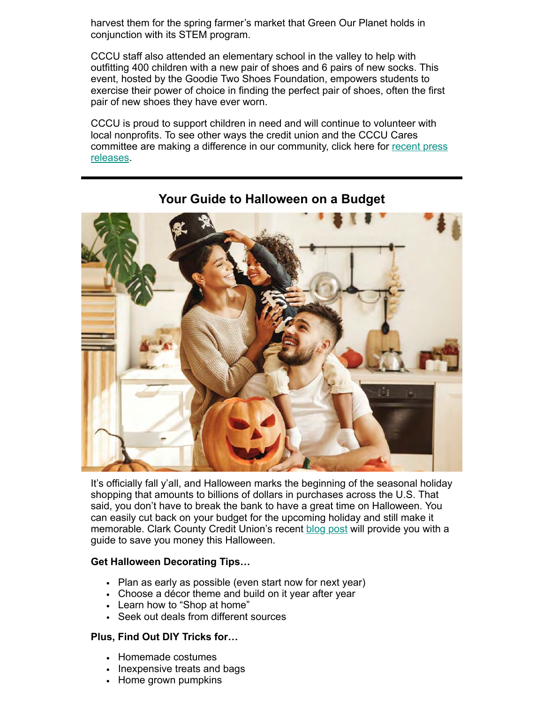harvest them for the spring farmer's market that Green Our Planet holds in conjunction with its STEM program.

CCCU staff also attended an elementary school in the valley to help with outfitting 400 children with a new pair of shoes and 6 pairs of new socks. This event, hosted by the Goodie Two Shoes Foundation, empowers students to exercise their power of choice in finding the perfect pair of shoes, often the first pair of new shoes they have ever worn.

CCCU is proud to support children in need and will continue to volunteer with local nonprofits. To see other ways the credit union and the CCCU Cares [committee are making a difference in our community, click here for recent press](https://www.ccculv.org/Media-and-Press.aspx) releases.



**Your Guide to Halloween on a Budget**

It's officially fall y'all, and Halloween marks the beginning of the seasonal holiday shopping that amounts to billions of dollars in purchases across the U.S. That said, you don't have to break the bank to have a great time on Halloween. You can easily cut back on your budget for the upcoming holiday and still make it memorable. Clark County Credit Union's recent [blog post](https://www.ccculv.org/CustomContent.aspx?Name=Your%20Guide%20to%20Halloween%20on%20a%20Budget) will provide you with a guide to save you money this Halloween.

## **Get Halloween Decorating Tips…**

- Plan as early as possible (even start now for next year)
- Choose a décor theme and build on it year after year
- Learn how to "Shop at home"
- Seek out deals from different sources

## **Plus, Find Out DIY Tricks for…**

- Homemade costumes
- Inexpensive treats and bags
- Home grown pumpkins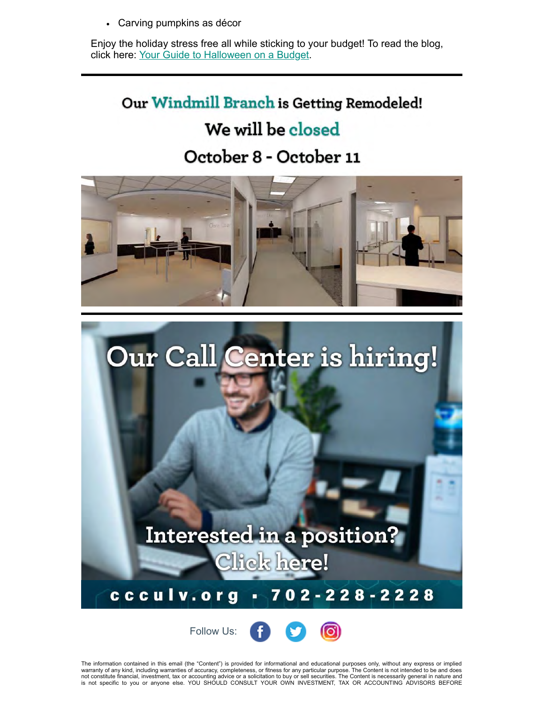Carving pumpkins as décor

Enjoy the holiday stress free all while sticking to your budget! To read the blog, click here: [Your Guide to Halloween on a Budget.](https://www.ccculv.org/CustomContent.aspx?Name=Your%20Guide%20to%20Halloween%20on%20a%20Budget)

## Our Windmill Branch is Getting Remodeled!

# We will be closed

# October 8 - October 11





Follow Us: